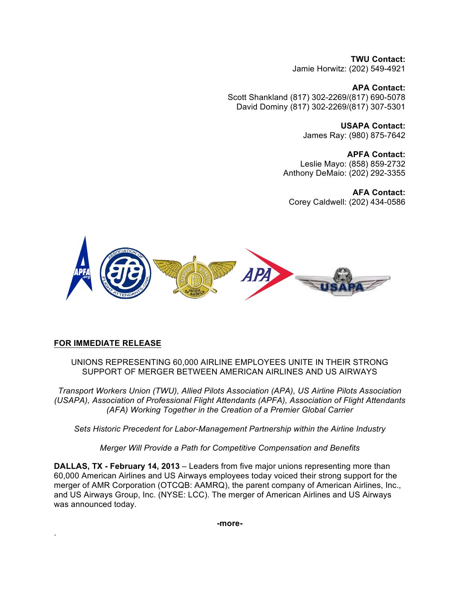**TWU Contact:** Jamie Horwitz: (202) 549-4921

**APA Contact:** Scott Shankland (817) 302-2269/(817) 690-5078 David Dominy (817) 302-2269/(817) 307-5301

> **USAPA Contact:** James Ray: (980) 875-7642

**APFA Contact:** Leslie Mayo: (858) 859-2732 Anthony DeMaio: (202) 292-3355

**AFA Contact:** Corey Caldwell: (202) 434-0586



# **FOR IMMEDIATE RELEASE**

.

UNIONS REPRESENTING 60,000 AIRLINE EMPLOYEES UNITE IN THEIR STRONG SUPPORT OF MERGER BETWEEN AMERICAN AIRLINES AND US AIRWAYS

*Transport Workers Union (TWU), Allied Pilots Association (APA), US Airline Pilots Association (USAPA), Association of Professional Flight Attendants (APFA), Association of Flight Attendants (AFA) Working Together in the Creation of a Premier Global Carrier*

*Sets Historic Precedent for Labor-Management Partnership within the Airline Industry*

*Merger Will Provide a Path for Competitive Compensation and Benefits*

**DALLAS, TX - February 14, 2013** – Leaders from five major unions representing more than 60,000 American Airlines and US Airways employees today voiced their strong support for the merger of AMR Corporation (OTCQB: AAMRQ), the parent company of American Airlines, Inc., and US Airways Group, Inc. (NYSE: LCC). The merger of American Airlines and US Airways was announced today.

**-more-**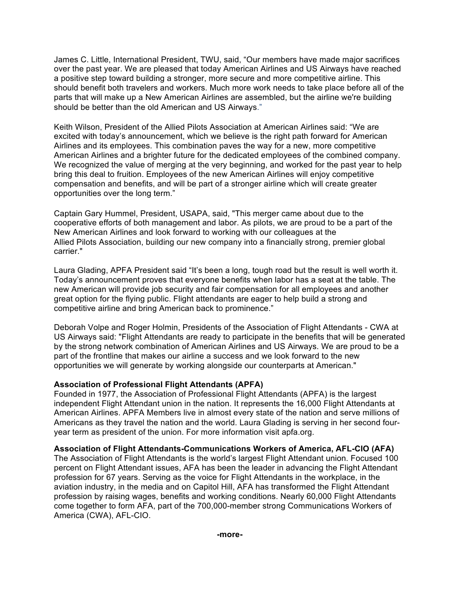James C. Little, International President, TWU, said, "Our members have made major sacrifices over the past year. We are pleased that today American Airlines and US Airways have reached a positive step toward building a stronger, more secure and more competitive airline. This should benefit both travelers and workers. Much more work needs to take place before all of the parts that will make up a New American Airlines are assembled, but the airline we're building should be better than the old American and US Airways."

Keith Wilson, President of the Allied Pilots Association at American Airlines said: "We are excited with today's announcement, which we believe is the right path forward for American Airlines and its employees. This combination paves the way for a new, more competitive American Airlines and a brighter future for the dedicated employees of the combined company. We recognized the value of merging at the very beginning, and worked for the past year to help bring this deal to fruition. Employees of the new American Airlines will enjoy competitive compensation and benefits, and will be part of a stronger airline which will create greater opportunities over the long term."

Captain Gary Hummel, President, USAPA, said, "This merger came about due to the cooperative efforts of both management and labor. As pilots, we are proud to be a part of the New American Airlines and look forward to working with our colleagues at the Allied Pilots Association, building our new company into a financially strong, premier global carrier."

Laura Glading, APFA President said "It's been a long, tough road but the result is well worth it. Today's announcement proves that everyone benefits when labor has a seat at the table. The new American will provide job security and fair compensation for all employees and another great option for the flying public. Flight attendants are eager to help build a strong and competitive airline and bring American back to prominence."

Deborah Volpe and Roger Holmin, Presidents of the Association of Flight Attendants - CWA at US Airways said: "Flight Attendants are ready to participate in the benefits that will be generated by the strong network combination of American Airlines and US Airways. We are proud to be a part of the frontline that makes our airline a success and we look forward to the new opportunities we will generate by working alongside our counterparts at American."

# **Association of Professional Flight Attendants (APFA)**

Founded in 1977, the Association of Professional Flight Attendants (APFA) is the largest independent Flight Attendant union in the nation. It represents the 16,000 Flight Attendants at American Airlines. APFA Members live in almost every state of the nation and serve millions of Americans as they travel the nation and the world. Laura Glading is serving in her second fouryear term as president of the union. For more information visit apfa.org.

#### **Association of Flight Attendants-Communications Workers of America, AFL-CIO (AFA)**

The Association of Flight Attendants is the world's largest Flight Attendant union. Focused 100 percent on Flight Attendant issues, AFA has been the leader in advancing the Flight Attendant profession for 67 years. Serving as the voice for Flight Attendants in the workplace, in the aviation industry, in the media and on Capitol Hill, AFA has transformed the Flight Attendant profession by raising wages, benefits and working conditions. Nearly 60,000 Flight Attendants come together to form AFA, part of the 700,000-member strong Communications Workers of America (CWA), AFL-CIO.